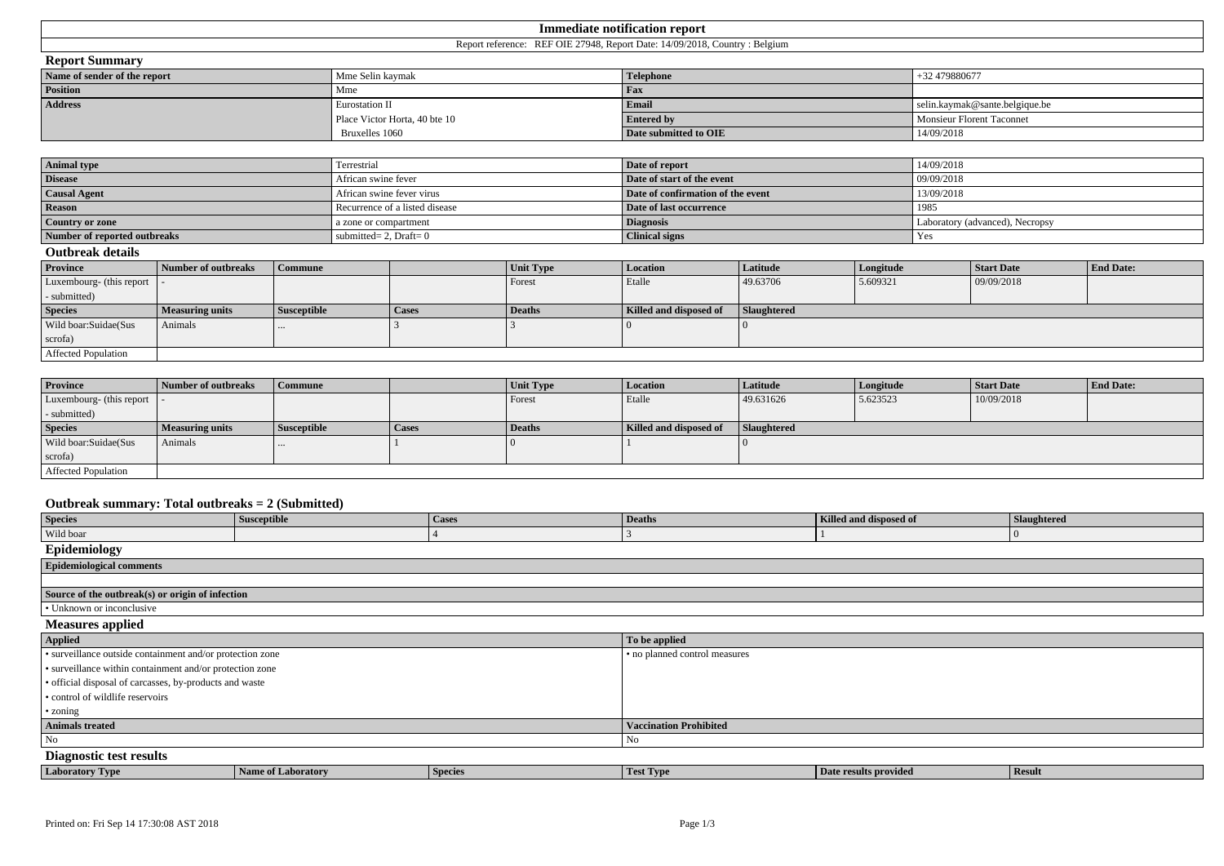| <b>Immediate notification report</b>                                        |                              |                    |                                |                               |                         |                                   |             |                                 |                           |                   |                  |
|-----------------------------------------------------------------------------|------------------------------|--------------------|--------------------------------|-------------------------------|-------------------------|-----------------------------------|-------------|---------------------------------|---------------------------|-------------------|------------------|
| Report reference: REF OIE 27948, Report Date: 14/09/2018, Country : Belgium |                              |                    |                                |                               |                         |                                   |             |                                 |                           |                   |                  |
| <b>Report Summary</b>                                                       |                              |                    |                                |                               |                         |                                   |             |                                 |                           |                   |                  |
| Name of sender of the report                                                |                              |                    | Mme Selin kaymak               |                               | <b>Telephone</b>        |                                   |             | +32 479880677                   |                           |                   |                  |
| <b>Position</b>                                                             |                              |                    | Mme                            |                               | Fax                     |                                   |             |                                 |                           |                   |                  |
| <b>Address</b>                                                              |                              |                    | Eurostation II                 |                               | Email                   |                                   |             | selin.kaymak@sante.belgique.be  |                           |                   |                  |
|                                                                             |                              |                    |                                | Place Victor Horta, 40 bte 10 |                         | <b>Entered by</b>                 |             |                                 | Monsieur Florent Taconnet |                   |                  |
|                                                                             |                              |                    | Bruxelles 1060                 |                               | Date submitted to OIE   |                                   |             | 14/09/2018                      |                           |                   |                  |
|                                                                             |                              |                    |                                |                               |                         |                                   |             |                                 |                           |                   |                  |
| <b>Animal type</b>                                                          |                              |                    | Terrestrial                    |                               | Date of report          |                                   |             | 14/09/2018                      |                           |                   |                  |
| <b>Disease</b>                                                              |                              |                    |                                | African swine fever           |                         | Date of start of the event        |             |                                 | 09/09/2018                |                   |                  |
| <b>Causal Agent</b>                                                         |                              |                    |                                | African swine fever virus     |                         | Date of confirmation of the event |             |                                 | 13/09/2018                |                   |                  |
| <b>Reason</b>                                                               |                              |                    | Recurrence of a listed disease |                               | Date of last occurrence |                                   |             | 1985                            |                           |                   |                  |
| <b>Country or zone</b>                                                      |                              |                    | a zone or compartment          |                               | <b>Diagnosis</b>        |                                   |             | Laboratory (advanced), Necropsy |                           |                   |                  |
|                                                                             | Number of reported outbreaks |                    |                                | submitted = $2$ , Draft = $0$ |                         | <b>Clinical signs</b>             |             |                                 | Yes                       |                   |                  |
| <b>Outbreak details</b>                                                     |                              |                    |                                |                               |                         |                                   |             |                                 |                           |                   |                  |
| Province                                                                    | <b>Number of outbreaks</b>   | <b>Commune</b>     |                                |                               | <b>Unit Type</b>        | Location                          | Latitude    | Longitude                       |                           | <b>Start Date</b> | <b>End Date:</b> |
| Luxembourg- (this report                                                    |                              |                    |                                |                               | Forest                  | Etalle                            | 49.63706    | 5.609321                        |                           | 09/09/2018        |                  |
| submitted)                                                                  |                              |                    |                                |                               |                         |                                   |             |                                 |                           |                   |                  |
| <b>Species</b>                                                              | <b>Measuring units</b>       | <b>Susceptible</b> | <b>Cases</b>                   |                               | <b>Deaths</b>           | Killed and disposed of            | Slaughtered |                                 |                           |                   |                  |
| Wild boar:Suidae(Sus                                                        | Animals                      |                    |                                |                               |                         |                                   | $\theta$    |                                 |                           |                   |                  |
| scrofa)                                                                     |                              |                    |                                |                               |                         |                                   |             |                                 |                           |                   |                  |
| Affected Population                                                         |                              |                    |                                |                               |                         |                                   |             |                                 |                           |                   |                  |

| <b>Province</b>          | Number of outbreaks | <b>Commune</b>     |       | <b>Unit Type</b> | <b>Location</b>        | Latitude    | Longitude | <b>Start Date</b> | <b>End Date:</b> |
|--------------------------|---------------------|--------------------|-------|------------------|------------------------|-------------|-----------|-------------------|------------------|
| Luxembourg- (this report |                     |                    |       | Forest           | Etalle                 | 49.631626   | 5.623523  | 10/09/2018        |                  |
| - submitted)             |                     |                    |       |                  |                        |             |           |                   |                  |
| <b>Species</b>           | Measuring units     | <b>Susceptible</b> | Cases | Deaths           | Killed and disposed of | Slaughtered |           |                   |                  |
| Wild boar:Suidae(Sus     | Animals             | $\cdots$           |       |                  |                        |             |           |                   |                  |
| scrofa)                  |                     |                    |       |                  |                        |             |           |                   |                  |
| Affected Population      |                     |                    |       |                  |                        |             |           |                   |                  |

## **Outbreak summary: Total outbreaks = 2 (Submitted)**

| <b>Species</b>                                            | <b>Susceptible</b> | <b>Cases</b> | <b>Deaths</b>                 | Killed and disposed of | Slaughtered   |  |  |  |  |
|-----------------------------------------------------------|--------------------|--------------|-------------------------------|------------------------|---------------|--|--|--|--|
| Wild boar                                                 |                    |              |                               |                        | ()            |  |  |  |  |
| Epidemiology                                              |                    |              |                               |                        |               |  |  |  |  |
| <b>Epidemiological comments</b>                           |                    |              |                               |                        |               |  |  |  |  |
|                                                           |                    |              |                               |                        |               |  |  |  |  |
| Source of the outbreak(s) or origin of infection          |                    |              |                               |                        |               |  |  |  |  |
| • Unknown or inconclusive                                 |                    |              |                               |                        |               |  |  |  |  |
| <b>Measures applied</b>                                   |                    |              |                               |                        |               |  |  |  |  |
| <b>Applied</b>                                            |                    |              | To be applied                 |                        |               |  |  |  |  |
| • surveillance outside containment and/or protection zone |                    |              | • no planned control measures |                        |               |  |  |  |  |
| • surveillance within containment and/or protection zone  |                    |              |                               |                        |               |  |  |  |  |
| • official disposal of carcasses, by-products and waste   |                    |              |                               |                        |               |  |  |  |  |
| • control of wildlife reservoirs                          |                    |              |                               |                        |               |  |  |  |  |
| $\cdot$ zoning                                            |                    |              |                               |                        |               |  |  |  |  |
| <b>Animals treated</b>                                    |                    |              | <b>Vaccination Prohibited</b> |                        |               |  |  |  |  |
| No                                                        |                    |              | No                            |                        |               |  |  |  |  |
| <b>Diagnostic test results</b>                            |                    |              |                               |                        |               |  |  |  |  |
| <b>Laboratory Type</b>                                    | Name of Laboratory | Species      | <b>Test Type</b>              | Date results provided  | <b>Result</b> |  |  |  |  |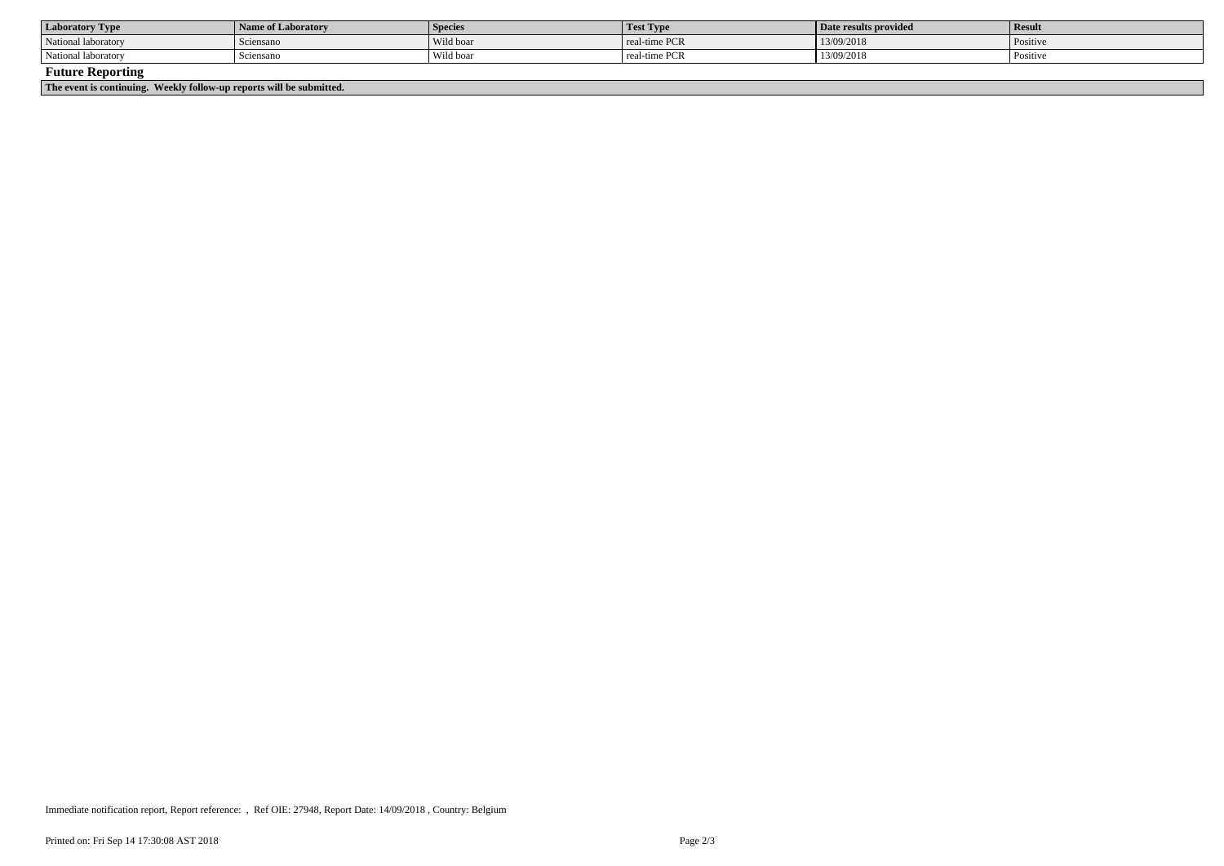| <b>Laboratory Type</b>                                               | <b>Name of Laboratory</b> | Species   | <b>Test Type</b> | Date results provided | Result          |  |  |
|----------------------------------------------------------------------|---------------------------|-----------|------------------|-----------------------|-----------------|--|--|
| National laboratory                                                  | <b>Sciensano</b>          | Wild boar | real-time PCR    | 13/09/2018            | <b>Positive</b> |  |  |
| National laboratory                                                  | Sciensano                 | Wild boar | real-time PCR    | 13/09/2018            | Positive        |  |  |
| <b>Future Reporting</b>                                              |                           |           |                  |                       |                 |  |  |
| The event is continuing. Weekly follow-up reports will be submitted. |                           |           |                  |                       |                 |  |  |

Immediate notification report, Report reference: , Ref OIE: 27948, Report Date: 14/09/2018 , Country: Belgium